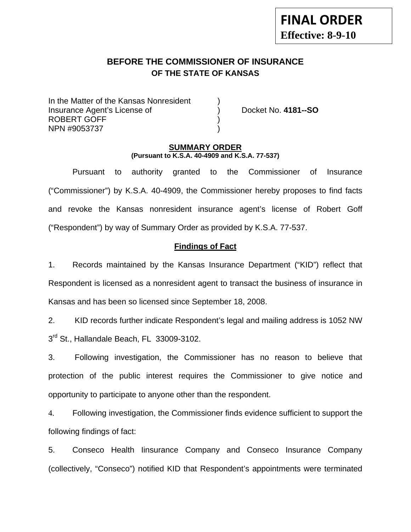# **BEFORE THE COMMISSIONER OF INSURANCE OF THE STATE OF KANSAS**

In the Matter of the Kansas Nonresident Insurance Agent's License of ) Docket No. **4181--SO** ROBERT GOFF ) NPN #9053737 )

#### **SUMMARY ORDER (Pursuant to K.S.A. 40-4909 and K.S.A. 77-537)**

 Pursuant to authority granted to the Commissioner of Insurance ("Commissioner") by K.S.A. 40-4909, the Commissioner hereby proposes to find facts and revoke the Kansas nonresident insurance agent's license of Robert Goff ("Respondent") by way of Summary Order as provided by K.S.A. 77-537.

## **Findings of Fact**

1. Records maintained by the Kansas Insurance Department ("KID") reflect that Respondent is licensed as a nonresident agent to transact the business of insurance in Kansas and has been so licensed since September 18, 2008.

2. KID records further indicate Respondent's legal and mailing address is 1052 NW  $3<sup>rd</sup>$  St., Hallandale Beach, FL 33009-3102.

3. Following investigation, the Commissioner has no reason to believe that protection of the public interest requires the Commissioner to give notice and opportunity to participate to anyone other than the respondent.

4. Following investigation, the Commissioner finds evidence sufficient to support the following findings of fact:

5. Conseco Health Iinsurance Company and Conseco Insurance Company (collectively, "Conseco") notified KID that Respondent's appointments were terminated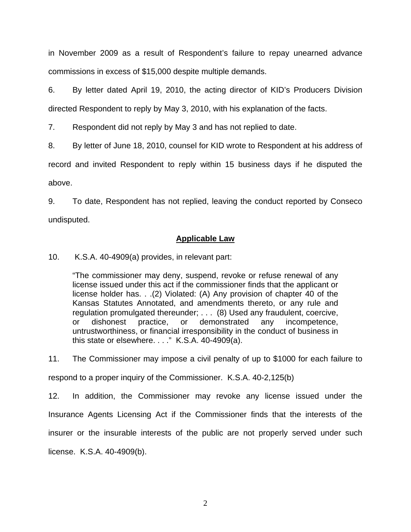in November 2009 as a result of Respondent's failure to repay unearned advance commissions in excess of \$15,000 despite multiple demands.

6. By letter dated April 19, 2010, the acting director of KID's Producers Division directed Respondent to reply by May 3, 2010, with his explanation of the facts.

7. Respondent did not reply by May 3 and has not replied to date.

8. By letter of June 18, 2010, counsel for KID wrote to Respondent at his address of

record and invited Respondent to reply within 15 business days if he disputed the above.

9. To date, Respondent has not replied, leaving the conduct reported by Conseco undisputed.

#### **Applicable Law**

10. K.S.A. 40-4909(a) provides, in relevant part:

"The commissioner may deny, suspend, revoke or refuse renewal of any license issued under this act if the commissioner finds that the applicant or license holder has. . .(2) Violated: (A) Any provision of chapter 40 of the Kansas Statutes Annotated, and amendments thereto, or any rule and regulation promulgated thereunder; . . . (8) Used any fraudulent, coercive, or dishonest practice, or demonstrated any incompetence, untrustworthiness, or financial irresponsibility in the conduct of business in this state or elsewhere. . . ." K.S.A. 40-4909(a).

11. The Commissioner may impose a civil penalty of up to \$1000 for each failure to

respond to a proper inquiry of the Commissioner. K.S.A. 40-2,125(b)

12. In addition, the Commissioner may revoke any license issued under the Insurance Agents Licensing Act if the Commissioner finds that the interests of the insurer or the insurable interests of the public are not properly served under such license. K.S.A. 40-4909(b).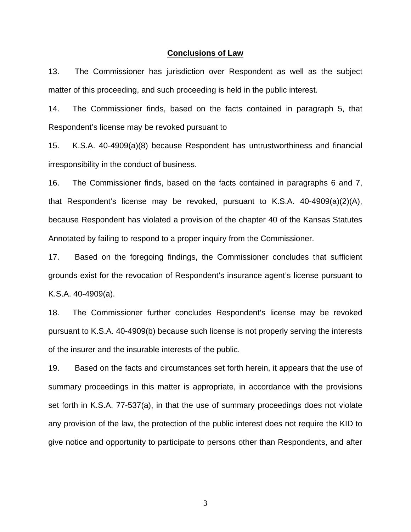#### **Conclusions of Law**

13. The Commissioner has jurisdiction over Respondent as well as the subject matter of this proceeding, and such proceeding is held in the public interest.

14. The Commissioner finds, based on the facts contained in paragraph 5, that Respondent's license may be revoked pursuant to

15. K.S.A. 40-4909(a)(8) because Respondent has untrustworthiness and financial irresponsibility in the conduct of business.

16. The Commissioner finds, based on the facts contained in paragraphs 6 and 7, that Respondent's license may be revoked, pursuant to K.S.A. 40-4909(a)(2)(A), because Respondent has violated a provision of the chapter 40 of the Kansas Statutes Annotated by failing to respond to a proper inquiry from the Commissioner.

17. Based on the foregoing findings, the Commissioner concludes that sufficient grounds exist for the revocation of Respondent's insurance agent's license pursuant to K.S.A. 40-4909(a).

18. The Commissioner further concludes Respondent's license may be revoked pursuant to K.S.A. 40-4909(b) because such license is not properly serving the interests of the insurer and the insurable interests of the public.

19. Based on the facts and circumstances set forth herein, it appears that the use of summary proceedings in this matter is appropriate, in accordance with the provisions set forth in K.S.A. 77-537(a), in that the use of summary proceedings does not violate any provision of the law, the protection of the public interest does not require the KID to give notice and opportunity to participate to persons other than Respondents, and after

3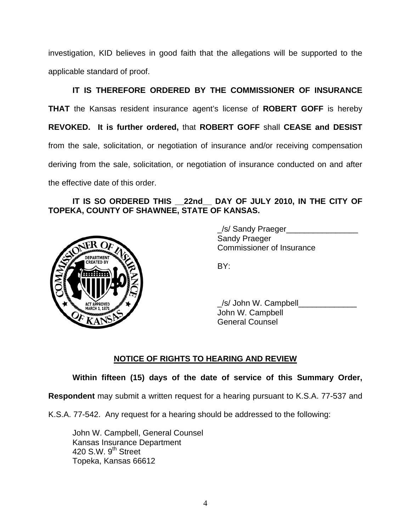investigation, KID believes in good faith that the allegations will be supported to the applicable standard of proof.

 **IT IS THEREFORE ORDERED BY THE COMMISSIONER OF INSURANCE THAT** the Kansas resident insurance agent's license of **ROBERT GOFF** is hereby **REVOKED. It is further ordered,** that **ROBERT GOFF** shall **CEASE and DESIST** from the sale, solicitation, or negotiation of insurance and/or receiving compensation deriving from the sale, solicitation, or negotiation of insurance conducted on and after the effective date of this order.

## **IT IS SO ORDERED THIS \_\_22nd\_\_ DAY OF JULY 2010, IN THE CITY OF TOPEKA, COUNTY OF SHAWNEE, STATE OF KANSAS.**



 \_/s/ Sandy Praeger\_\_\_\_\_\_\_\_\_\_\_\_\_\_\_\_ Sandy Praeger Commissioner of Insurance

 $\angle$ s/ John W. Campbell John W. Campbell General Counsel

# **NOTICE OF RIGHTS TO HEARING AND REVIEW**

## **Within fifteen (15) days of the date of service of this Summary Order,**

**Respondent** may submit a written request for a hearing pursuant to K.S.A. 77-537 and

K.S.A. 77-542. Any request for a hearing should be addressed to the following:

 John W. Campbell, General Counsel Kansas Insurance Department 420 S.W.  $9<sup>th</sup>$  Street Topeka, Kansas 66612